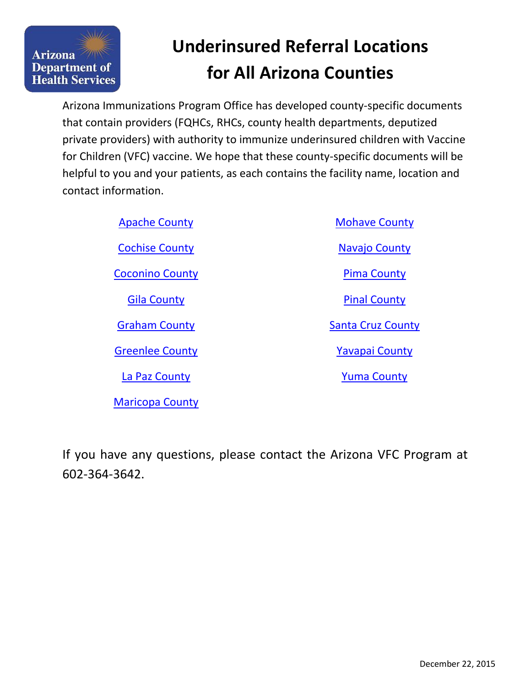

# **Underinsured Referral Locations for All Arizona Counties**

Arizona Immunizations Program Office has developed county-specific documents that contain providers (FQHCs, RHCs, county health departments, deputized private providers) with authority to immunize underinsured children with Vaccine for Children (VFC) vaccine. We hope that these county-specific documents will be helpful to you and your patients, as each contains the facility name, location and contact information.

| <b>Apache County</b>   | <b>Mohave County</b>     |
|------------------------|--------------------------|
| <b>Cochise County</b>  | Navajo County            |
| <b>Coconino County</b> | <b>Pima County</b>       |
| <b>Gila County</b>     | <b>Pinal County</b>      |
| <b>Graham County</b>   | <b>Santa Cruz County</b> |
| <b>Greenlee County</b> | <b>Yavapai County</b>    |
| La Paz County          | <b>Yuma County</b>       |

If you have any questions, please contact the Arizona VFC Program at 602-364-3642.

[Maricopa County](#page-8-0)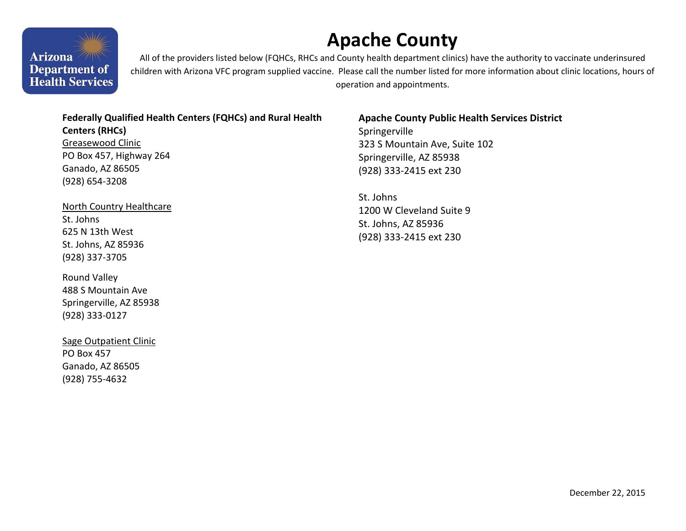# **Apache County**

**Arizona Department of Health Services** 

WW

All of the providers listed below (FQHCs, RHCs and County health department clinics) have the authority to vaccinate underinsured children with Arizona VFC program supplied vaccine. Please call the number listed for more information about clinic locations, hours of operation and appointments.

#### **Federally Qualified Health Centers (FQHCs) and Rural Health**

**Centers (RHCs)**  Greasewood Clinic PO Box 457, Highway 264 Ganado, AZ 86505 (928) 654-3208

North Country Healthcare St. Johns 625 N 13th West St. Johns, AZ 85936 (928) 337-3705

Round Valley 488 S Mountain Ave Springerville, AZ 85938 (928) 333-0127

Sage Outpatient Clinic PO Box 457 Ganado, AZ 86505 (928) 755-4632

### **Apache County Public Health Services District**

Springerville 323 S Mountain Ave, Suite 102 Springerville, AZ 85938 (928) 333-2415 ext 230

<span id="page-1-0"></span>St. Johns 1200 W Cleveland Suite 9 St. Johns, AZ 85936 (928) 333-2415 ext 230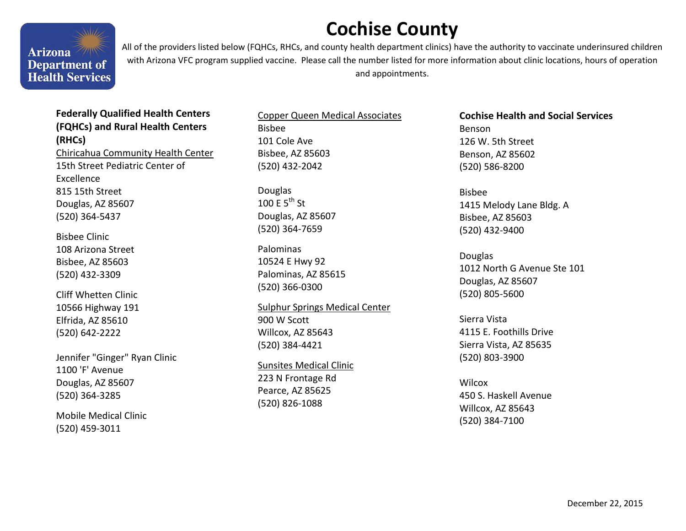# **Cochise County**



All of the providers listed below (FQHCs, RHCs, and county health department clinics) have the authority to vaccinate underinsured children with Arizona VFC program supplied vaccine. Please call the number listed for more information about clinic locations, hours of operation and appointments.

## **Federally Qualified Health Centers (FQHCs) and Rural Health Centers (RHCs)**

Chiricahua Community Health Center 15th Street Pediatric Center of Excellence 815 15th Street Douglas, AZ 85607 (520) 364-5437

Bisbee Clinic 108 Arizona Street Bisbee, AZ 85603 (520) 432-3309

Cliff Whetten Clinic 10566 Highway 191 Elfrida, AZ 85610 (520) 642-2222

Jennifer "Ginger" Ryan Clinic 1100 'F' Avenue Douglas, AZ 85607 (520) 364-3285

Mobile Medical Clinic (520) 459-3011

Copper Queen Medical Associates Bisbee 101 Cole Ave Bisbee, AZ 85603 (520) 432-2042

Douglas 100 F  $5^{th}$  St Douglas, AZ 85607 (520) 364-7659

Palominas 10524 E Hwy 92 Palominas, AZ 85615 (520) 366-0300

Sulphur Springs Medical Center 900 W Scott Willcox, AZ 85643 (520) 384-4421

Sunsites Medical Clinic 223 N Frontage Rd Pearce, AZ 85625 (520) 826-1088

**Cochise Health and Social Services** 

Benson 126 W. 5th Street Benson, AZ 85602 (520) 586-8200

<span id="page-2-0"></span>Bisbee 1415 Melody Lane Bldg. A Bisbee, AZ 85603 (520) 432-9400

Douglas 1012 North G Avenue Ste 101 Douglas, AZ 85607 (520) 805-5600

Sierra Vista 4115 E. Foothills Drive Sierra Vista, AZ 85635 (520) 803-3900

**Wilcox** 450 S. Haskell Avenue Willcox, AZ 85643 (520) 384-7100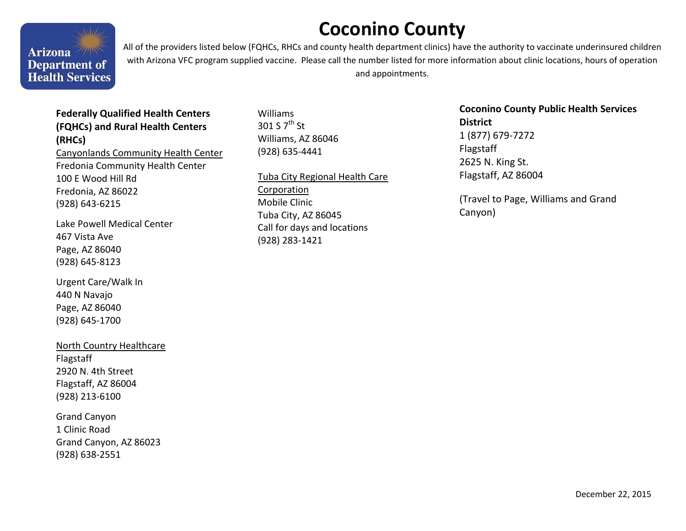# **Coconino County**



All of the providers listed below (FQHCs, RHCs and county health department clinics) have the authority to vaccinate underinsured children with Arizona VFC program supplied vaccine. Please call the number listed for more information about clinic locations, hours of operation and appointments.

## **Federally Qualified Health Centers (FQHCs) and Rural Health Centers (RHCs)**

Canyonlands Community Health Center Fredonia Community Health Center 100 E Wood Hill Rd Fredonia, AZ 86022 (928) 643-6215

Lake Powell Medical Center 467 Vista Ave Page, AZ 86040 (928) 645-8123

Urgent Care/Walk In 440 N Navajo Page, AZ 86040 (928) 645-1700

### North Country Healthcare

Flagstaff 2920 N. 4th Street Flagstaff, AZ 86004 (928) 213-6100

Grand Canyon 1 Clinic Road Grand Canyon, AZ 86023 (928) 638-2551

Williams 301 S  $7^{\text{th}}$  St Williams, AZ 86046 (928) 635-4441

Tuba City Regional Health Care

Corporation Mobile Clinic Tuba City, AZ 86045 Call for days and locations (928) 283-1421

**Coconino County Public Health Services District**  1 (877) 679-7272 Flagstaff 2625 N. King St. Flagstaff, AZ 86004

<span id="page-3-0"></span>(Travel to Page, Williams and Grand Canyon)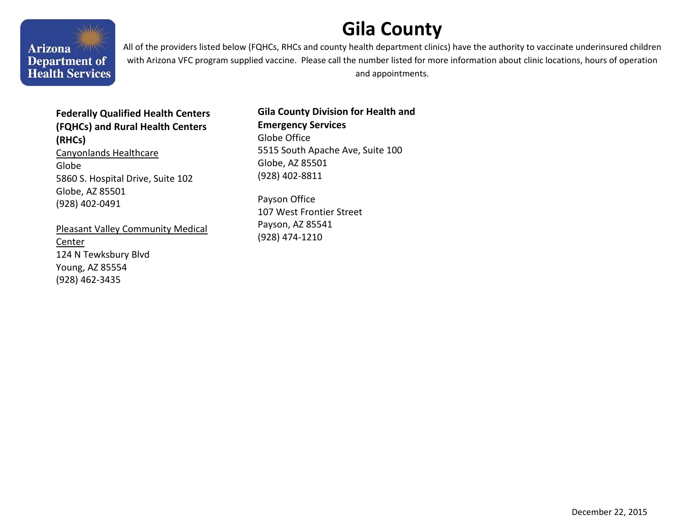# <span id="page-4-0"></span>**Gila County**

We Arizona<sup>7/11</sup> **Department of Health Services** 

All of the providers listed below (FQHCs, RHCs and county health department clinics) have the authority to vaccinate underinsured children with Arizona VFC program supplied vaccine. Please call the number listed for more information about clinic locations, hours of operation and appointments.

## **Federally Qualified Health Centers (FQHCs) and Rural Health Centers (RHCs)**

Canyonlands Healthcare Globe 5860 S. Hospital Drive, Suite 102 Globe, AZ 85501 (928) 402-0491

Pleasant Valley Community Medical Center 124 N Tewksbury Blvd Young, AZ 85554 (928) 462-3435

### **Gila County Division for Health and Emergency Services**  Globe Office 5515 South Apache Ave, Suite 100 Globe, AZ 85501 (928) 402-8811

Payson Office 107 West Frontier Street Payson, AZ 85541 (928) 474-1210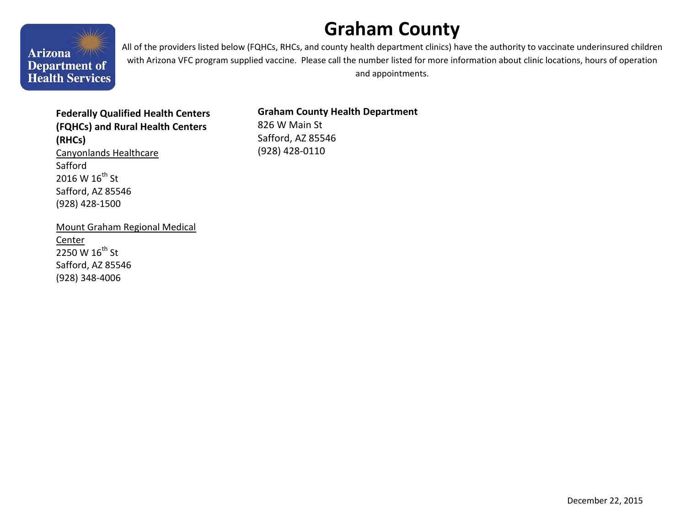# <span id="page-5-0"></span>**Graham County**



All of the providers listed below (FQHCs, RHCs, and county health department clinics) have the authority to vaccinate underinsured children with Arizona VFC program supplied vaccine. Please call the number listed for more information about clinic locations, hours of operation and appointments.

### **Federally Qualified Health Centers (FQHCs) and Rural Health Centers (RHCs)**  Canyonlands Healthcare Safford

2016 W  $16^{th}$  St Safford, AZ 85546 (928) 428-1500

Mount Graham Regional Medical **Center** 2250 W 16<sup>th</sup> St Safford, AZ 85546 (928) 348-4006

### **Graham County Health Department**

826 W Main St Safford, AZ 85546 (928) 428-0110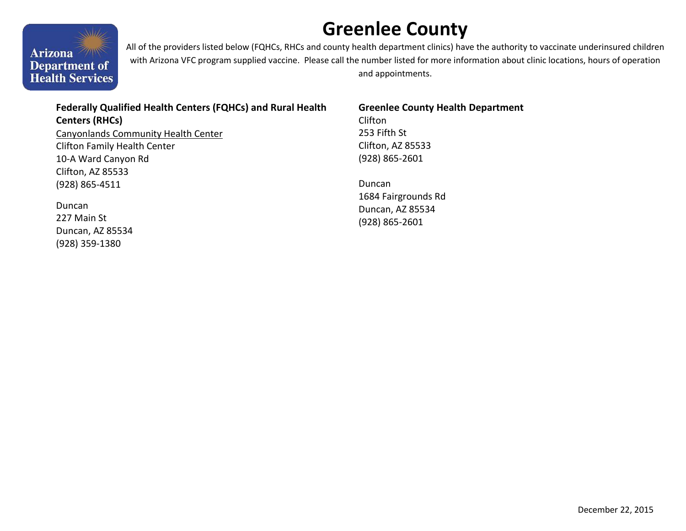# **Greenlee County**



All of the providers listed below (FQHCs, RHCs and county health department clinics) have the authority to vaccinate underinsured children with Arizona VFC program supplied vaccine. Please call the number listed for more information about clinic locations, hours of operation and appointments.

# **Federally Qualified Health Centers (FQHCs) and Rural Health**

**Centers (RHCs)**  Canyonlands Community Health Center Clifton Family Health Center 10-A Ward Canyon Rd Clifton, AZ 85533 (928) 865-4511

Duncan 227 Main St Duncan, AZ 85534 (928) 359-1380

#### **Greenlee County Health Department**  Clifton

253 Fifth St Clifton, AZ 85533 (928) 865-2601

<span id="page-6-0"></span>Duncan 1684 Fairgrounds Rd Duncan, AZ 85534 (928) 865-2601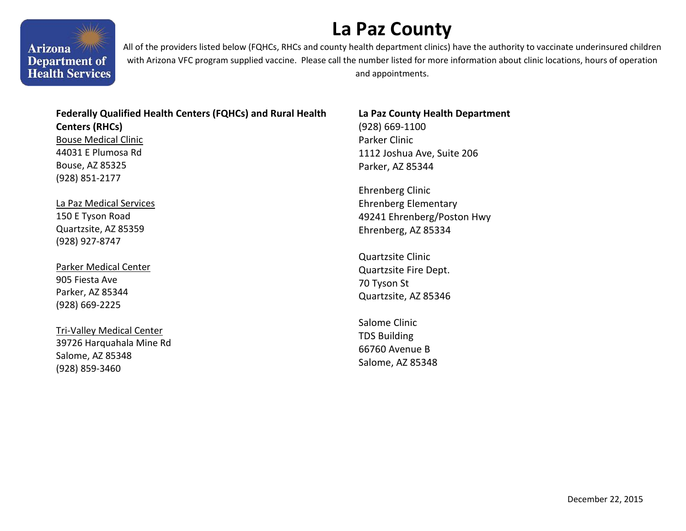# **La Paz County**

Arizona<sup>7/11</sup> **Department of Health Services** 

All of the providers listed below (FQHCs, RHCs and county health department clinics) have the authority to vaccinate underinsured children with Arizona VFC program supplied vaccine. Please call the number listed for more information about clinic locations, hours of operation and appointments.

### **Federally Qualified Health Centers (FQHCs) and Rural Health**

**Centers (RHCs)** 

Bouse Medical Clinic 44031 E Plumosa Rd Bouse, AZ 85325 (928) 851-2177

La Paz Medical Services 150 E Tyson Road Quartzsite, AZ 85359 (928) 927-8747

Parker Medical Center 905 Fiesta Ave Parker, AZ 85344 (928) 669-2225

Tri-Valley Medical Center 39726 Harquahala Mine Rd Salome, AZ 85348 (928) 859-3460

### **La Paz County Health Department**

(928) 669-1100 Parker Clinic 1112 Joshua Ave, Suite 206 Parker, AZ 85344

<span id="page-7-0"></span>Ehrenberg Clinic Ehrenberg Elementary 49241 Ehrenberg/Poston Hwy Ehrenberg, AZ 85334

Quartzsite Clinic Quartzsite Fire Dept. 70 Tyson St Quartzsite, AZ 85346

Salome Clinic TDS Building 66760 Avenue B Salome, AZ 85348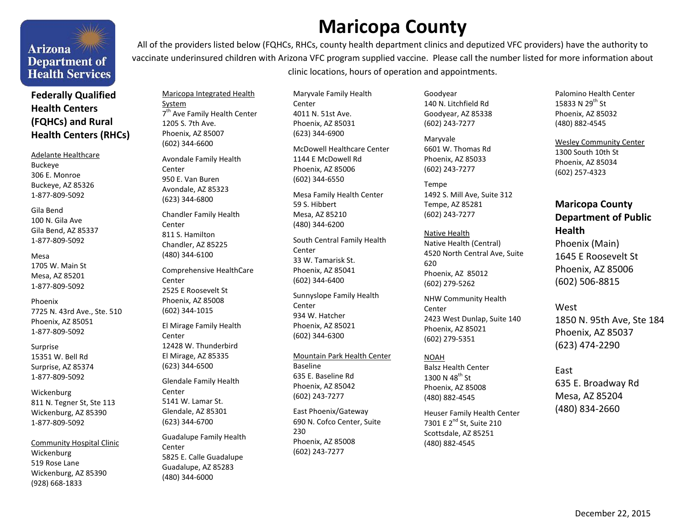# **Arizona Department of Health Services**

### **Federally Qualified Health Centers (FQHCs) and Rural Health Centers (RHCs)**

#### Adelante Healthcare

Buckeye 306 E. Monroe Buckeye, AZ 85326 1-877-809-5092

#### Gila Bend 100 N. Gila Ave Gila Bend, AZ 85337 1-877-809-5092

#### Mesa

1705 W. Main St Mesa, AZ 85201 1-877-809-5092

Phoenix 7725 N. 43rd Ave., Ste. 510 Phoenix, AZ 85051 1-877-809-5092

Surprise 15351 W. Bell Rd Surprise, AZ 85374 1-877-809-5092

Wickenburg 811 N. Tegner St, Ste 113 Wickenburg, AZ 85390 1-877-809-5092

Community Hospital Clinic Wickenburg 519 Rose Lane Wickenburg, AZ 85390 (928) 668-1833

All of the providers listed below (FQHCs, RHCs, county health department clinics and deputized VFC providers) have the authority to vaccinate underinsured children with Arizona VFC program supplied vaccine. Please call the number listed for more information about clinic locations, hours of operation and appointments.

**Maricopa County** 

Maricopa Integrated Health System 7<sup>th</sup> Ave Family Health Center 1205 S. 7th Ave. Phoenix, AZ 85007 (602) 344-6600

Avondale Family Health **Center** 950 E. Van Buren Avondale, AZ 85323 (623) 344-6800

Chandler Family Health Center 811 S. Hamilton Chandler, AZ 85225 (480) 344-6100

Comprehensive HealthCare Center 2525 E Roosevelt St Phoenix, AZ 85008 (602) 344-1015

El Mirage Family Health Center 12428 W. Thunderbird El Mirage, AZ 85335 (623) 344-6500

Glendale Family Health Center 5141 W. Lamar St. Glendale, AZ 85301 (623) 344-6700

Guadalupe Family Health Center 5825 E. Calle Guadalupe Guadalupe, AZ 85283 (480) 344-6000

Maryvale Family Health Center 4011 N. 51st Ave. Phoenix, AZ 85031 (623) 344-6900

McDowell Healthcare Center 1144 E McDowell Rd Phoenix, AZ 85006 (602) 344-6550

Mesa Family Health Center 59 S. Hibbert Mesa, AZ 85210 (480) 344-6200

South Central Family Health Center 33 W. Tamarisk St. Phoenix, AZ 85041 (602) 344-6400

Sunnyslope Family Health Center 934 W. Hatcher Phoenix, AZ 85021 (602) 344-6300

Mountain Park Health Center Baseline 635 E. Baseline Rd Phoenix, AZ 85042 (602) 243-7277

East Phoenix/Gateway 690 N. Cofco Center, Suite 230 Phoenix, AZ 85008 (602) 243-7277

Goodyear 140 N. Litchfield Rd Goodyear, AZ 85338 (602) 243-7277

Maryvale 6601 W. Thomas Rd Phoenix, AZ 85033 (602) 243-7277

<span id="page-8-0"></span>Tempe 1492 S. Mill Ave, Suite 312 Tempe, AZ 85281 (602) 243-7277

Native Health Native Health (Central) 4520 North Central Ave, Suite 620 Phoenix, AZ 85012 (602) 279-5262

NHW Community Health Center 2423 West Dunlap, Suite 140 Phoenix, AZ 85021 (602) 279-5351

NOAH Balsz Health Center 1300 N 48<sup>th</sup> St Phoenix, AZ 85008 (480) 882-4545

Heuser Family Health Center 7301 E 2<sup>nd</sup> St, Suite 210 Scottsdale, AZ 85251 (480) 882-4545

Palomino Health Center 15833 N 29th St Phoenix, AZ 85032 (480) 882-4545

Wesley Community Center 1300 South 10th St Phoenix, AZ 85034 (602) 257-4323

## **Maricopa County Department of Public Health**

Phoenix (Main) 1645 E Roosevelt St Phoenix, AZ 85006 (602) 506-8815

West 1850 N. 95th Ave, Ste 184 Phoenix, AZ 85037 (623) 474-2290

East 635 E. Broadway Rd Mesa, AZ 85204 (480) 834-2660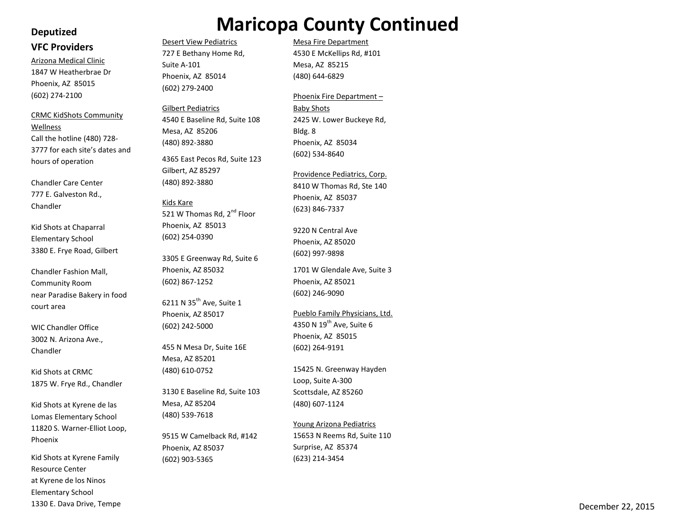#### **Deputized**

#### **VFC Providers**

Arizona Medical Clinic 1847 W Heatherbrae Dr Phoenix, AZ 85015 (602) 274-2100

CRMC KidShots Community Wellness Call the hotline (480) 728- 3777 for each site's dates and hours of operation

Chandler Care Center 777 E. Galveston Rd., Chandler

Kid Shots at Chaparral Elementary School 3380 E. Frye Road, Gilbert

Chandler Fashion Mall, Community Room near Paradise Bakery in food court area

WIC Chandler Office 3002 N. Arizona Ave., Chandler

Kid Shots at CRMC 1875 W. Frye Rd., Chandler

Kid Shots at Kyrene de las Lomas Elementary School 11820 S. Warner-Elliot Loop, Phoenix

Kid Shots at Kyrene Family Resource Center at Kyrene de los Ninos Elementary School 1330 E. Dava Drive, Tempe

## Desert View Pediatrics **Maricopa County Continued**

727 E Bethany Home Rd,

4540 E Baseline Rd, Suite 108

4365 East Pecos Rd, Suite 123

521 W Thomas Rd, 2<sup>nd</sup> Floor

3305 E Greenway Rd, Suite 6

Phoenix, AZ 85014 (602) 279-2400

Gilbert Pediatrics

Mesa, AZ 85206 (480) 892-3880

Gilbert, AZ 85297 (480) 892-3880

Phoenix, AZ 85013 (602) 254-0390

Phoenix, AZ 85032 (602) 867 -1252

6211 N 35<sup>th</sup> Ave, Suite 1 Phoenix, AZ 85017 (602) 242-5000

455 N Mesa Dr, Suite 16E

3130 E Baseline Rd, Suite 103

9515 W Camelback Rd, #142

Mesa, AZ 85201 (480) 610-0752

Mesa, AZ 85204 (480) 539 -7618

Phoenix, AZ 85037 (602) 903-5365

Kids Kare

Suite A-101

Mesa Fire Department 4530 E McKellips Rd, #101 Mesa, AZ 85215 (480) 644-6829

#### Phoenix Fire Department –

Baby Shots 2425 W. Lower Buckeye Rd, Bldg. 8 Phoenix, AZ 85034 (602) 534 -8640

Providence Pediatrics, Corp. 8410 W Thomas Rd, Ste 140 Phoenix, AZ 85037 (623) 846-7337

9220 N Central Ave Phoenix, AZ 85020 (602) 997-9898

1701 W Glendale Ave, Suite 3 Phoenix, AZ 85021 (602) 246-9090

Pueblo Family Physicians, Ltd. 4350 N  $19^{th}$  Ave, Suite 6 Phoenix, AZ 85015 (602) 264-9191

15425 N. Greenway Hayden Loop, Suite A-300 Scottsdale, AZ 85260 (480) 607-1124

Young Arizona Pediatrics

15653 N Reems Rd, Suite 110 Surprise, AZ 85374 (623) 214-3454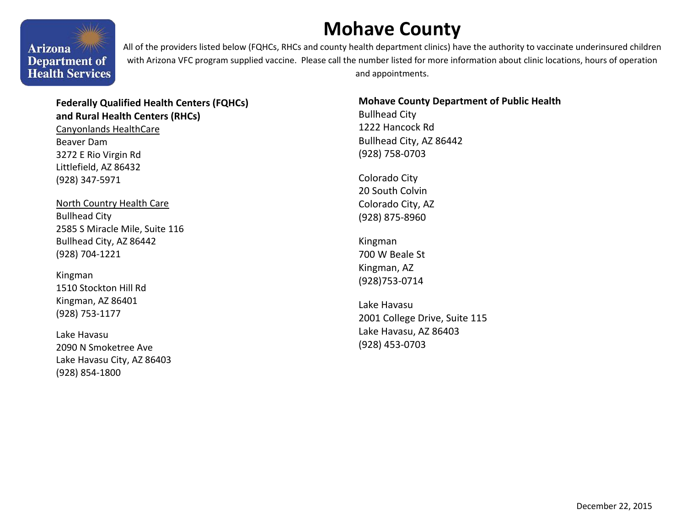# **Mohave County**



All of the providers listed below (FQHCs, RHCs and county health department clinics) have the authority to vaccinate underinsured children with Arizona VFC program supplied vaccine. Please call the number listed for more information about clinic locations, hours of operation and appointments.

## **Federally Qualified Health Centers (FQHCs) and Rural Health Centers (RHCs)**

Canyonlands HealthCare Beaver Dam 3272 E Rio Virgin Rd Littlefield, AZ 86432 (928) 347-5971

North Country Health Care Bullhead City 2585 S Miracle Mile, Suite 116 Bullhead City, AZ 86442 (928) 704-1221

Kingman 1510 Stockton Hill Rd Kingman, AZ 86401 (928) 753-1177

Lake Havasu 2090 N Smoketree Ave Lake Havasu City, AZ 86403 (928) 854-1800

### **Mohave County Department of Public Health**

Bullhead City 1222 Hancock Rd Bullhead City, AZ 86442 (928) 758-0703

<span id="page-10-0"></span>Colorado City 20 South Colvin Colorado City, AZ (928) 875-8960

Kingman 700 W Beale St Kingman, AZ (928)753-0714

Lake Havasu 2001 College Drive, Suite 115 Lake Havasu, AZ 86403 (928) 453-0703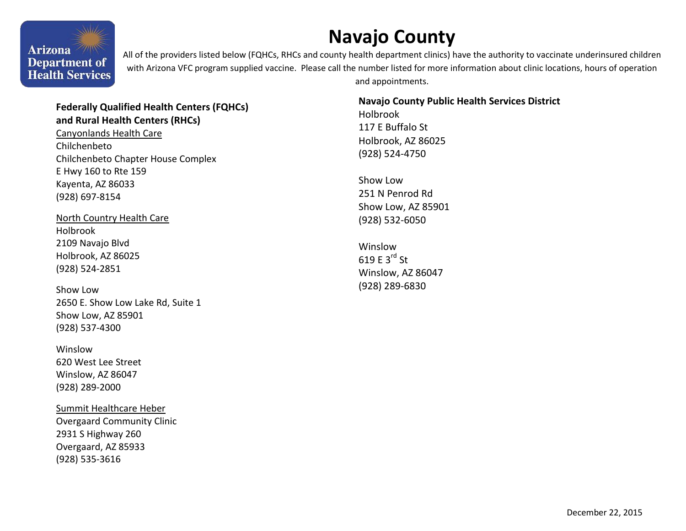# **Navajo County**

**Arizona** Department of **Health Services** 

All of the providers listed below (FQHCs, RHCs and county health department clinics) have the authority to vaccinate underinsured children with Arizona VFC program supplied vaccine. Please call the number listed for more information about clinic locations, hours of operation and appointments.

### **Federally Qualified Health Centers (FQHCs) and Rural Health Centers (RHCs)**

Canyonlands Health Care Chilchenbeto Chilchenbeto Chapter House Complex E Hwy 160 to Rte 159 Kayenta, AZ 86033 (928) 697-8154

North Country Health Care Holbrook 2109 Navajo Blvd Holbrook, AZ 86025 (928) 524-2851

Show Low 2650 E. Show Low Lake Rd, Suite 1 Show Low, AZ 85901 (928) 537-4300

**Winslow** 620 West Lee Street Winslow, AZ 86047 (928) 289-2000

Summit Healthcare Heber Overgaard Community Clinic 2931 S Highway 260 Overgaard, AZ 85933 (928) 535-3616

### **Navajo County Public Health Services District**

Holbrook 117 E Buffalo St Holbrook, AZ 86025 (928) 524-4750

<span id="page-11-0"></span>Show Low 251 N Penrod Rd Show Low, AZ 85901 (928) 532-6050

Winslow 619 E  $3^{\text{rd}}$  St Winslow, AZ 86047 (928) 289-6830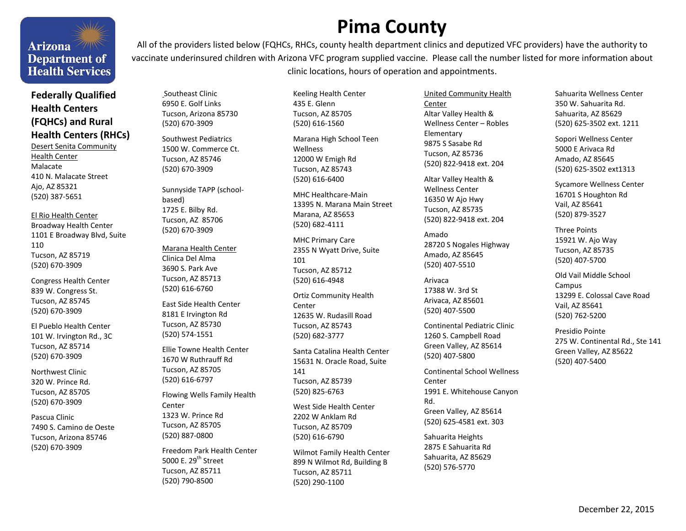# Arizona<sup>7/11/18</sup> **Department of Health Services**

## **Federally Qualified Health Centers (FQHCs) and Rural Health Centers (RHCs)**

Desert Senita Community Health Center Malacate 410 N. Malacate Street Ajo, AZ 85321 (520) 387-5651

El Rio Health Center Broadway Health Center 1101 E Broadway Blvd, Suite 110 Tucson, AZ 85719 (520) 670-3909

Congress Health Center 839 W. Congress St. Tucson, AZ 85745 (520) 670-3909

El Pueblo Health Center 101 W. Irvington Rd., 3C Tucson, AZ 85714 (520) 670-3909

Northwest Clinic 320 W. Prince Rd. Tucson, AZ 85705 (520) 670-3909

Pascua Clinic 7490 S. Camino de Oeste Tucson, Arizona 85746 (520) 670-3909

**Pima County** 

All of the providers listed below (FQHCs, RHCs, county health department clinics and deputized VFC providers) have the authority to vaccinate underinsured children with Arizona VFC program supplied vaccine. Please call the number listed for more information about clinic locations, hours of operation and appointments.

 Southeast Clinic 6950 E. Golf Links Tucson, Arizona 85730 (520) 670-3909

Southwest Pediatrics 1500 W. Commerce Ct. Tucson, AZ 85746 (520) 670-3909

Sunnyside TAPP (schoolbased) 1725 E. Bilby Rd. Tucson, AZ 85706 (520) 670-3909

#### Marana Health Center

Clinica Del Alma 3690 S. Park Ave Tucson, AZ 85713 (520) 616-6760

East Side Health Center 8181 E Irvington Rd Tucson, AZ 85730 (520) 574-1551

Ellie Towne Health Center 1670 W Ruthrauff Rd Tucson, AZ 85705 (520) 616-6797

Flowing Wells Family Health Center 1323 W. Prince Rd Tucson, AZ 85705 (520) 887-0800

Freedom Park Health Center 5000 E. 29<sup>th</sup> Street Tucson, AZ 85711 (520) 790-8500

Keeling Health Center 435 E. Glenn Tucson, AZ 85705 (520) 616-1560

Marana High School Teen Wellness 12000 W Emigh Rd Tucson, AZ 85743 (520) 616-6400

MHC Healthcare-Main 13395 N. Marana Main Street Marana, AZ 85653 (520) 682-4111

MHC Primary Care 2355 N Wyatt Drive, Suite 101 Tucson, AZ 85712 (520) 616-4948

Ortiz Community Health Center 12635 W. Rudasill Road Tucson, AZ 85743 (520) 682-3777

Santa Catalina Health Center 15631 N. Oracle Road, Suite 141 Tucson, AZ 85739 (520) 825-6763

West Side Health Center 2202 W Anklam Rd Tucson, AZ 85709 (520) 616-6790

Wilmot Family Health Center 899 N Wilmot Rd, Building B Tucson, AZ 85711 (520) 290-1100

United Community Health Center Altar Valley Health & Wellness Center – Robles Elementary 9875 S Sasabe Rd Tucson, AZ 85736 (520) 822-9418 ext. 204

<span id="page-12-0"></span>Altar Valley Health & Wellness Center 16350 W Ajo Hwy Tucson, AZ 85735 (520) 822-9418 ext. 204

Amado 28720 S Nogales Highway Amado, AZ 85645 (520) 407-5510

Arivaca 17388 W. 3rd St Arivaca, AZ 85601 (520) 407-5500

Continental Pediatric Clinic 1260 S. Campbell Road Green Valley, AZ 85614 (520) 407-5800

Continental School Wellness Center 1991 E. Whitehouse Canyon Rd. Green Valley, AZ 85614 (520) 625-4581 ext. 303

Sahuarita Heights 2875 E Sahuarita Rd Sahuarita, AZ 85629 (520) 576-5770

Sahuarita Wellness Center 350 W. Sahuarita Rd. Sahuarita, AZ 85629 (520) 625-3502 ext. 1211

Sopori Wellness Center 5000 E Arivaca Rd Amado, AZ 85645 (520) 625-3502 ext1313

Sycamore Wellness Center 16701 S Houghton Rd Vail, AZ 85641 (520) 879-3527

Three Points 15921 W. Ajo Way Tucson, AZ 85735 (520) 407-5700

Old Vail Middle School Campus 13299 E. Colossal Cave Road Vail, AZ 85641 (520) 762-5200

Presidio Pointe 275 W. Continental Rd., Ste 141 Green Valley, AZ 85622 (520) 407-5400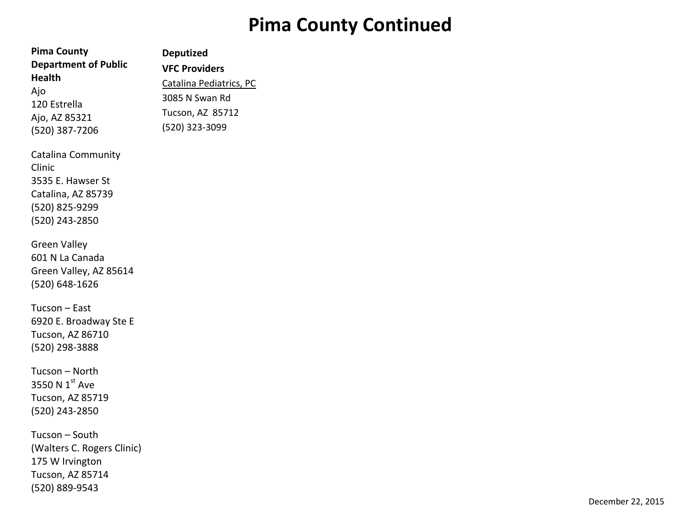# **Pima County Continued**

| <b>Pima County</b>                                                                                          | <b>Deputized</b>                                                  |
|-------------------------------------------------------------------------------------------------------------|-------------------------------------------------------------------|
| <b>Department of Public</b><br><b>Health</b><br>Ajo                                                         | <b>VFC Providers</b><br>Catalina Pediatrics, PC<br>3085 N Swan Rd |
| 120 Estrella<br>Ajo, AZ 85321<br>(520) 387-7206                                                             | Tucson, AZ 85712<br>(520) 323-3099                                |
| Catalina Community<br>Clinic<br>3535 E. Hawser St<br>Catalina, AZ 85739<br>(520) 825-9299<br>(520) 243-2850 |                                                                   |
| <b>Green Valley</b><br>601 N La Canada<br>Green Valley, AZ 85614<br>(520) 648-1626                          |                                                                   |
| Tucson - East<br>6920 E. Broadway Ste E<br><b>Tucson, AZ 86710</b><br>(520) 298-3888                        |                                                                   |
| Tucson - North<br>3550 N 1st Ave<br><b>Tucson, AZ 85719</b><br>(520) 243-2850                               |                                                                   |
| Tucson - South<br>(Walters C. Rogers Clinic)<br>175 W Irvington<br>Tucson, AZ 85714<br>(520) 889-9543       |                                                                   |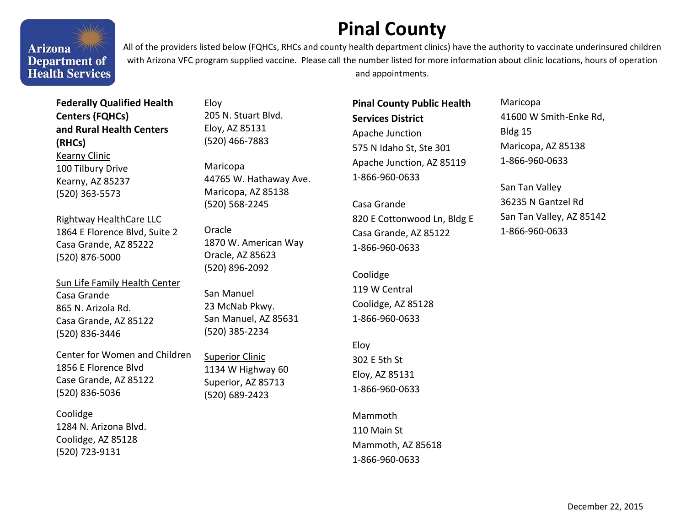# **Pinal County**

Arizona<sup>7/11</sup> **Department of Health Services** 

WW

All of the providers listed below (FQHCs, RHCs and county health department clinics) have the authority to vaccinate underinsured children with Arizona VFC program supplied vaccine. Please call the number listed for more information about clinic locations, hours of operation and appointments.

**Federally Qualified Health Centers (FQHCs) and Rural Health Centers (RHCs)**  Kearny Clinic 100 Tilbury Drive Kearny, AZ 85237 (520) 363-5573

Rightway HealthCare LLC 1864 E Florence Blvd, Suite 2 Casa Grande, AZ 85222 (520) 876-5000

Sun Life Family Health Center Casa Grande 865 N. Arizola Rd. Casa Grande, AZ 85122 (520) 836-3446

Center for Women and Children 1856 E Florence Blvd Case Grande, AZ 85122 (520) 836-5036

**Coolidge** 1284 N. Arizona Blvd. Coolidge, AZ 85128 (520) 723-9131

Eloy 205 N. Stuart Blvd. Eloy, AZ 85131 (520) 466-7883

Maricopa 44765 W. Hathaway Ave. Maricopa, AZ 85138 (520) 568-2245

Oracle 1870 W. American Way Oracle, AZ 85623 (520) 896-2092

San Manuel 23 McNab Pkwy. San Manuel, AZ 85631 (520) 385-2234

Superior Clinic 1134 W Highway 60 Superior, AZ 85713 (520) 689-2423

**Pinal County Public Health Services District**  Apache Junction 575 N Idaho St, Ste 301 Apache Junction, AZ 85119 1-866-960-0633

Casa Grande 820 E Cottonwood Ln, Bldg E Casa Grande, AZ 85122 1-866-960-0633

Coolidge 119 W Central Coolidge, AZ 85128 1-866-960-0633

Eloy 302 E 5th St Eloy, AZ 85131 1-866-960-0633

Mammoth 110 Main St Mammoth, AZ 85618 1-866-960-0633

Maricopa 41600 W Smith-Enke Rd, Bldg 15 Maricopa, AZ 85138 1-866-960-0633

<span id="page-14-0"></span>San Tan Valley 36235 N Gantzel Rd San Tan Valley, AZ 85142 1-866-960-0633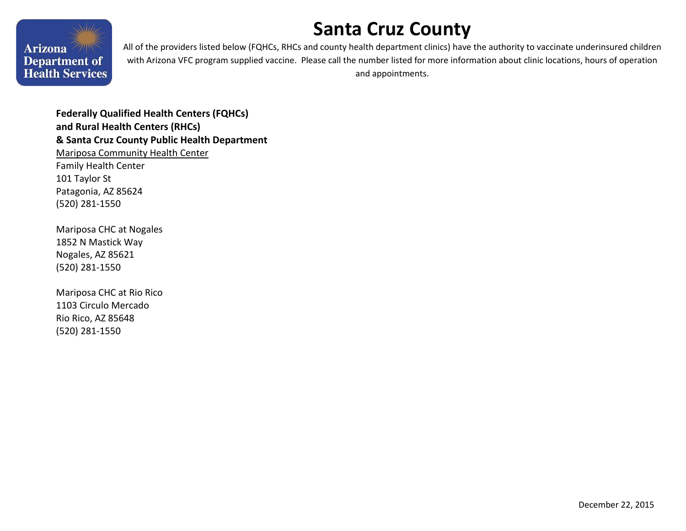# <span id="page-15-0"></span>**Santa Cruz County**



All of the providers listed below (FQHCs, RHCs and county health department clinics) have the authority to vaccinate underinsured children with Arizona VFC program supplied vaccine. Please call the number listed for more information about clinic locations, hours of operation and appointments.

**Federally Qualified Health Centers (FQHCs) and Rural Health Centers (RHCs) & Santa Cruz County Public Health Department**  Mariposa Community Health Center Family Health Center 101 Taylor St Patagonia, AZ 85624 (520) 281-1550

Mariposa CHC at Nogales 1852 N Mastick Way Nogales, AZ 85621 (520) 281-1550

Mariposa CHC at Rio Rico 1103 Circulo Mercado Rio Rico, AZ 85648 (520) 281-1550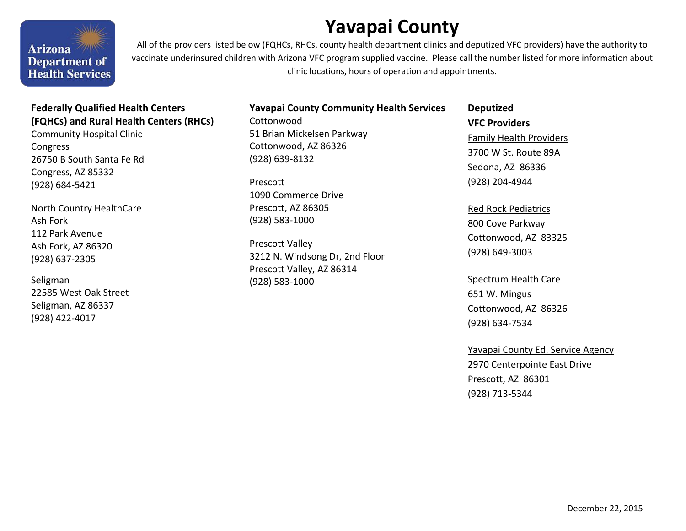# **Yavapai County**

Arizona<sup>7/11</sup> **Department of Health Services** 

All of the providers listed below (FQHCs, RHCs, county health department clinics and deputized VFC providers) have the authority to vaccinate underinsured children with Arizona VFC program supplied vaccine. Please call the number listed for more information about clinic locations, hours of operation and appointments.

## **Federally Qualified Health Centers (FQHCs) and Rural Health Centers (RHCs)**

Community Hospital Clinic **Congress** 26750 B South Santa Fe Rd Congress, AZ 85332 (928) 684-5421

North Country HealthCare Ash Fork 112 Park Avenue Ash Fork, AZ 86320 (928) 637-2305

Seligman 22585 West Oak Street Seligman, AZ 86337 (928) 422-4017

### **Yavapai County Community Health Services**

**Cottonwood** 51 Brian Mickelsen Parkway Cottonwood, AZ 86326 (928) 639-8132

Prescott 1090 Commerce Drive Prescott, AZ 86305 (928) 583-1000

Prescott Valley 3212 N. Windsong Dr, 2nd Floor Prescott Valley, AZ 86314 (928) 583-1000

## **Deputized VFC Providers**  Family Health Providers 3700 W St. Route 89A Sedona, AZ 86336 (928) 204-4944

<span id="page-16-0"></span>Red Rock Pediatrics 800 Cove Parkway Cottonwood, AZ 83325 (928) 649-3003

Spectrum Health Care 651 W. Mingus Cottonwood, AZ 86326 (928) 634-7534

### Yavapai County Ed. Service Agency

2970 Centerpointe East Drive Prescott, AZ 86301 (928) 713-5344